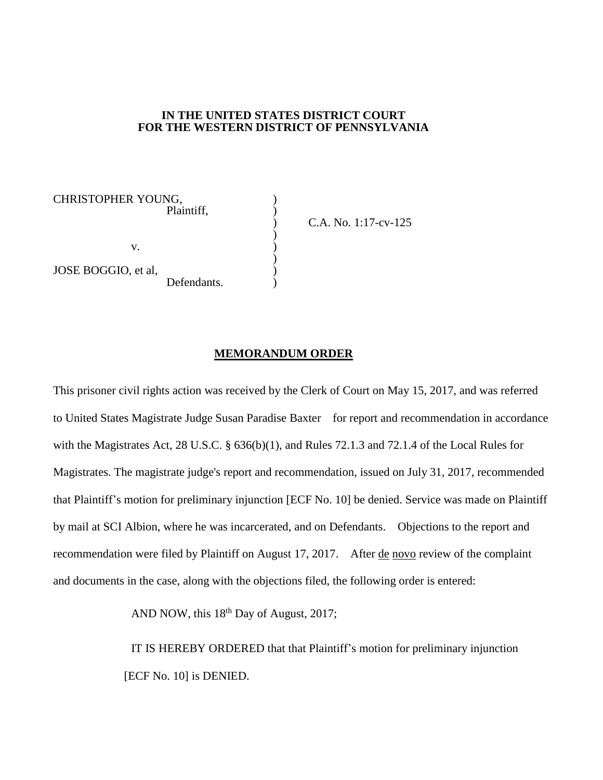## **IN THE UNITED STATES DISTRICT COURT FOR THE WESTERN DISTRICT OF PENNSYLVANIA**

)

)

CHRISTOPHER YOUNG, ) Plaintiff, )  $\mathbf{v}$ .  $\qquad \qquad$  ) JOSE BOGGIO, et al, ) Defendants.

) C.A. No. 1:17-cv-125

## **MEMORANDUM ORDER**

This prisoner civil rights action was received by the Clerk of Court on May 15, 2017, and was referred to United States Magistrate Judge Susan Paradise Baxter for report and recommendation in accordance with the Magistrates Act, 28 U.S.C. § 636(b)(1), and Rules 72.1.3 and 72.1.4 of the Local Rules for Magistrates. The magistrate judge's report and recommendation, issued on July 31, 2017, recommended that Plaintiff's motion for preliminary injunction [ECF No. 10] be denied. Service was made on Plaintiff by mail at SCI Albion, where he was incarcerated, and on Defendants. Objections to the report and recommendation were filed by Plaintiff on August 17, 2017. After de novo review of the complaint and documents in the case, along with the objections filed, the following order is entered:

AND NOW, this  $18<sup>th</sup>$  Day of August, 2017;

IT IS HEREBY ORDERED that that Plaintiff's motion for preliminary injunction [ECF No. 10] is DENIED.